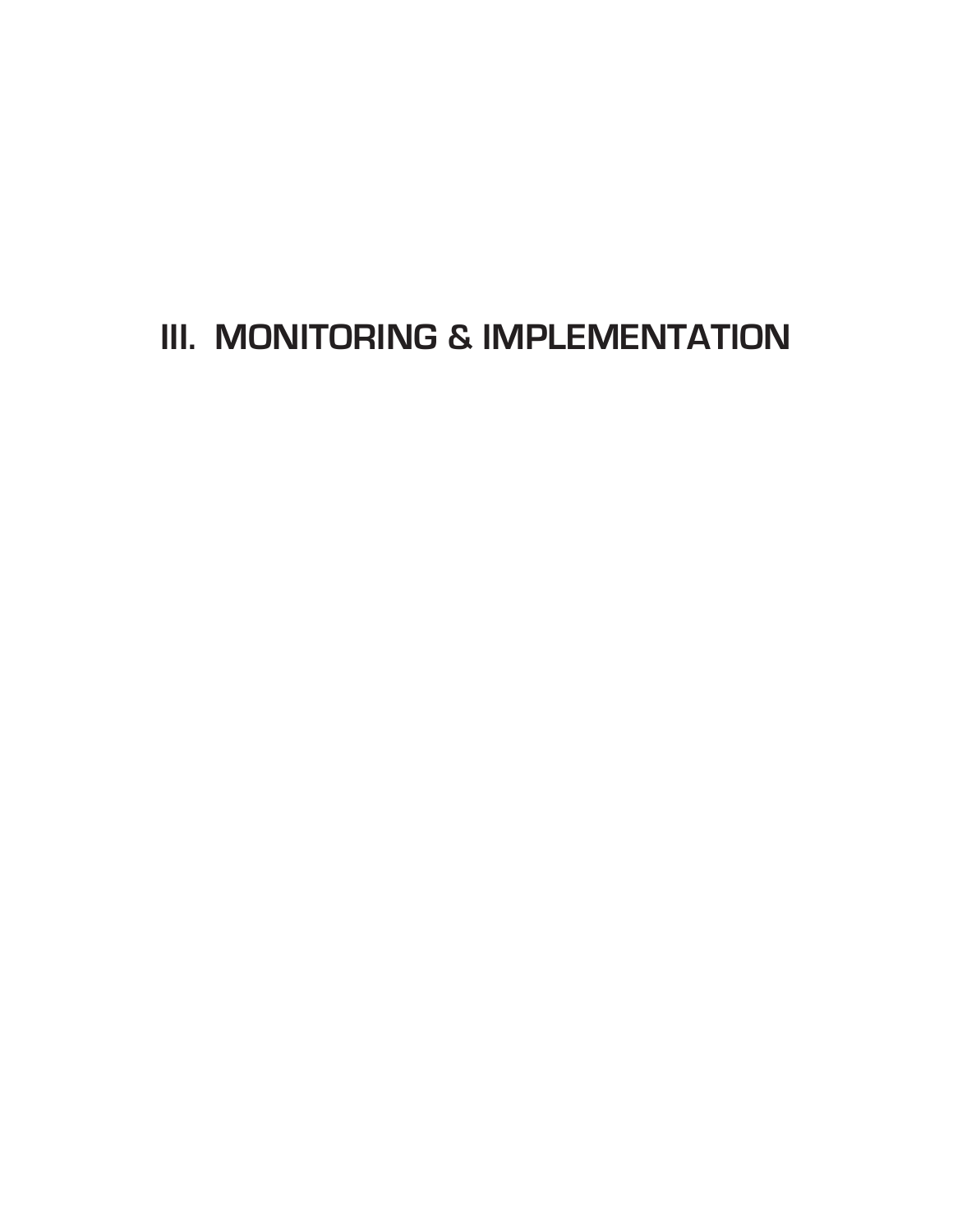# **III. MONITORING & IMPLEMENTATION**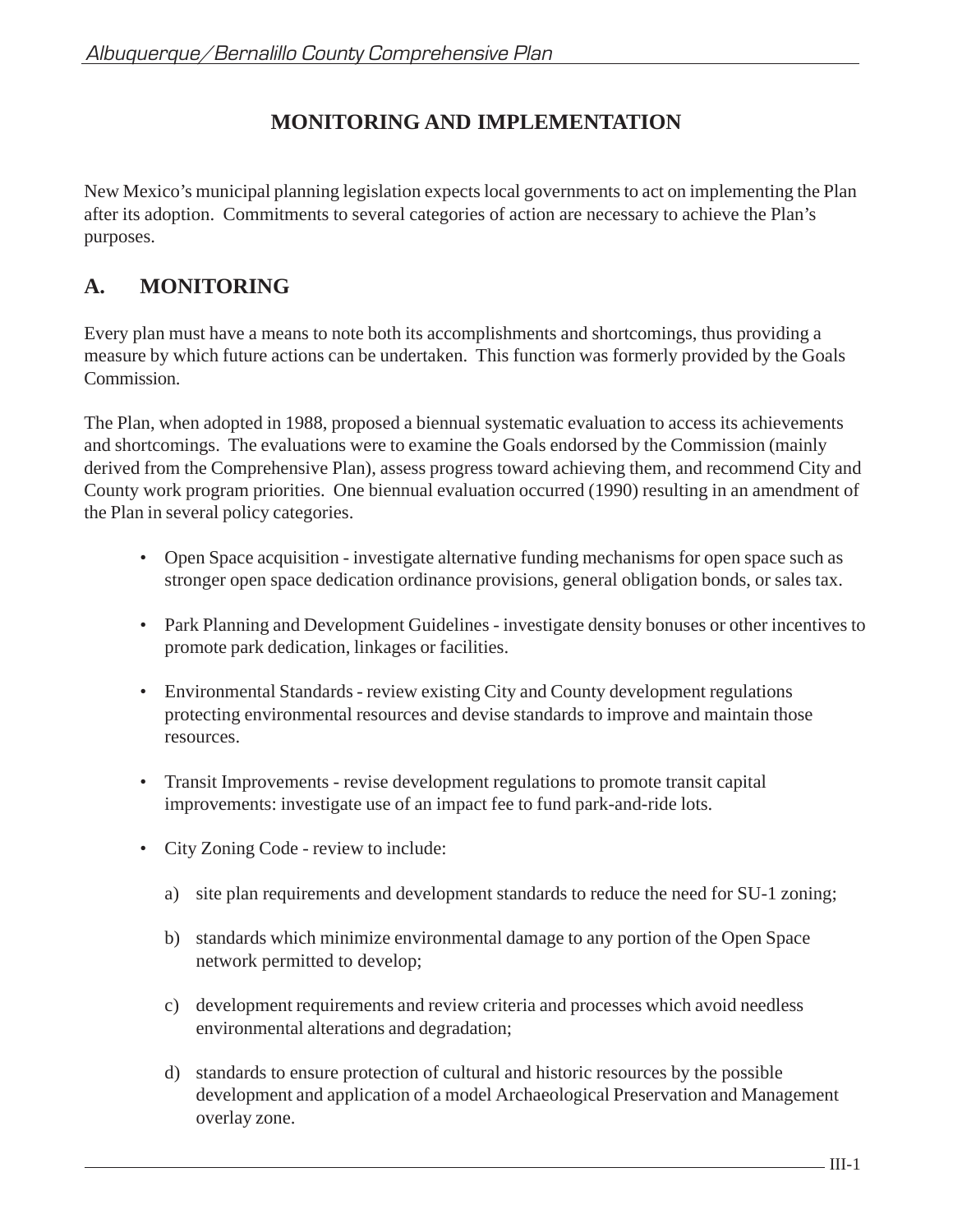# **MONITORING AND IMPLEMENTATION**

New Mexico's municipal planning legislation expects local governments to act on implementing the Plan after its adoption. Commitments to several categories of action are necessary to achieve the Plan's purposes.

## **A. MONITORING**

Every plan must have a means to note both its accomplishments and shortcomings, thus providing a measure by which future actions can be undertaken. This function was formerly provided by the Goals Commission.

The Plan, when adopted in 1988, proposed a biennual systematic evaluation to access its achievements and shortcomings. The evaluations were to examine the Goals endorsed by the Commission (mainly derived from the Comprehensive Plan), assess progress toward achieving them, and recommend City and County work program priorities. One biennual evaluation occurred (1990) resulting in an amendment of the Plan in several policy categories.

- Open Space acquisition investigate alternative funding mechanisms for open space such as stronger open space dedication ordinance provisions, general obligation bonds, or sales tax.
- Park Planning and Development Guidelines investigate density bonuses or other incentives to promote park dedication, linkages or facilities.
- Environmental Standards review existing City and County development regulations protecting environmental resources and devise standards to improve and maintain those resources.
- Transit Improvements revise development regulations to promote transit capital improvements: investigate use of an impact fee to fund park-and-ride lots.
- City Zoning Code review to include:
	- a) site plan requirements and development standards to reduce the need for SU-1 zoning;
	- b) standards which minimize environmental damage to any portion of the Open Space network permitted to develop;
	- c) development requirements and review criteria and processes which avoid needless environmental alterations and degradation;
	- d) standards to ensure protection of cultural and historic resources by the possible development and application of a model Archaeological Preservation and Management overlay zone.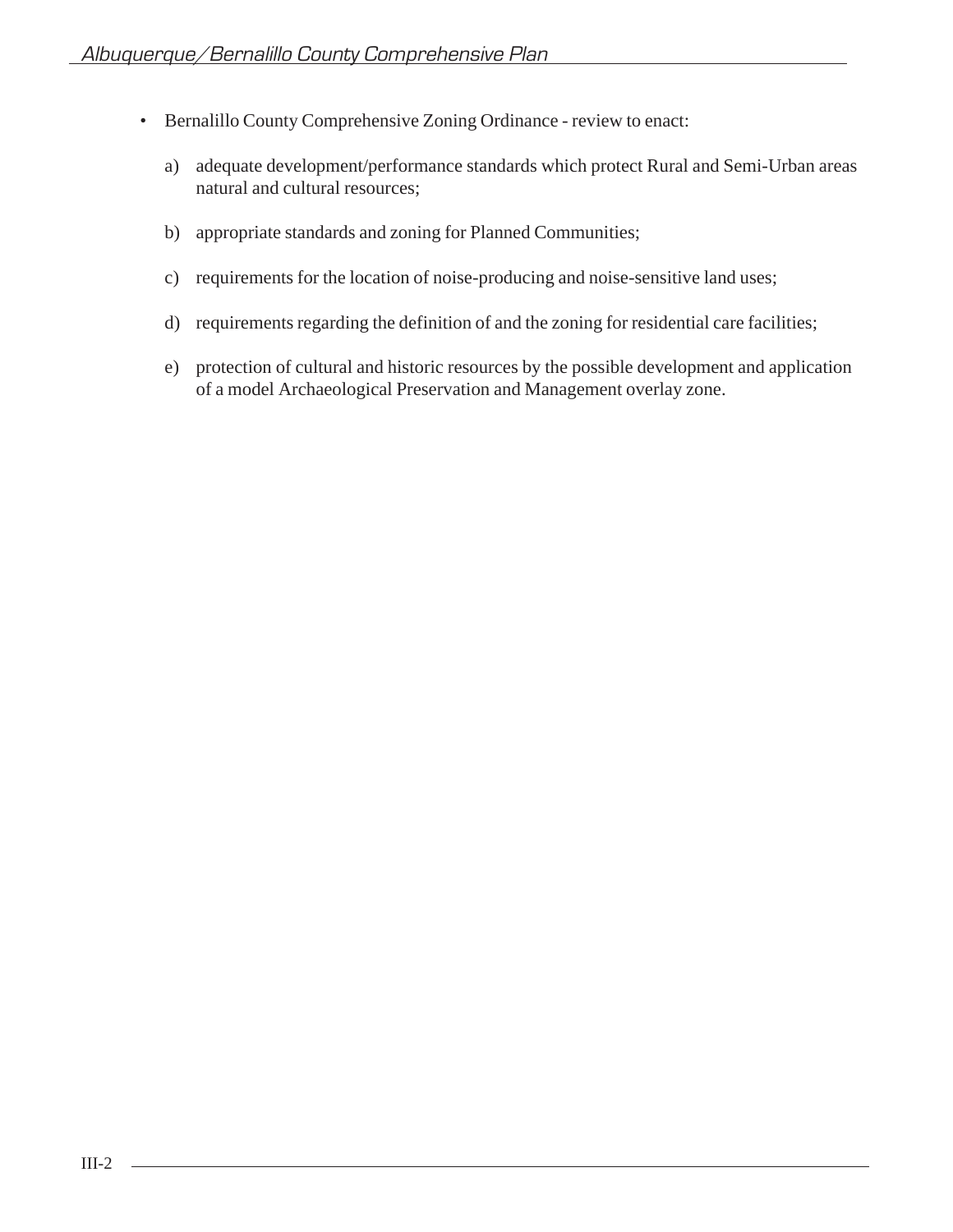- Bernalillo County Comprehensive Zoning Ordinance review to enact:
	- a) adequate development/performance standards which protect Rural and Semi-Urban areas natural and cultural resources;
	- b) appropriate standards and zoning for Planned Communities;
	- c) requirements for the location of noise-producing and noise-sensitive land uses;
	- d) requirements regarding the definition of and the zoning for residential care facilities;
	- e) protection of cultural and historic resources by the possible development and application of a model Archaeological Preservation and Management overlay zone.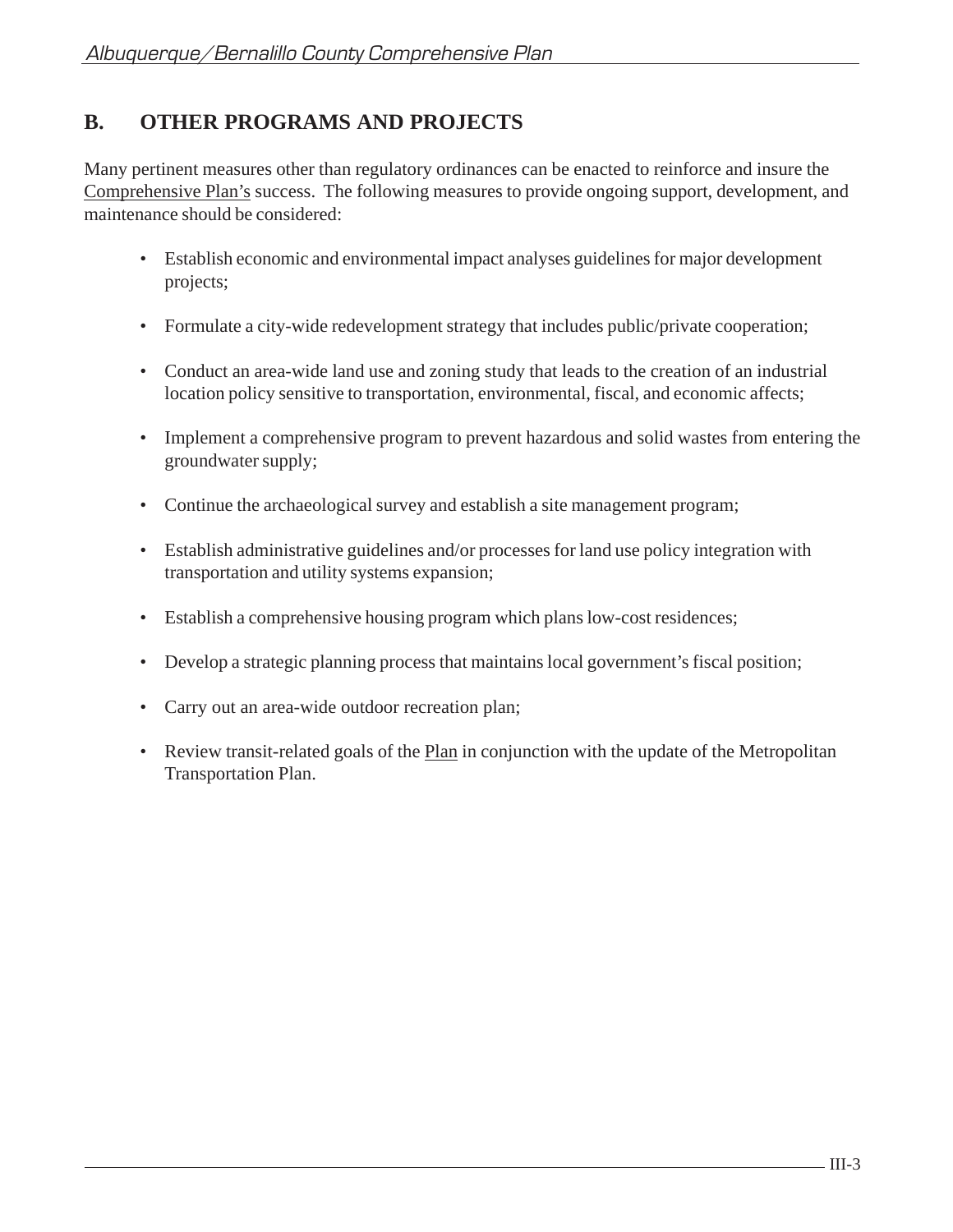## **B. OTHER PROGRAMS AND PROJECTS**

Many pertinent measures other than regulatory ordinances can be enacted to reinforce and insure the Comprehensive Plan's success. The following measures to provide ongoing support, development, and maintenance should be considered:

- Establish economic and environmental impact analyses guidelines for major development projects;
- Formulate a city-wide redevelopment strategy that includes public/private cooperation;
- Conduct an area-wide land use and zoning study that leads to the creation of an industrial location policy sensitive to transportation, environmental, fiscal, and economic affects;
- Implement a comprehensive program to prevent hazardous and solid wastes from entering the groundwater supply;
- Continue the archaeological survey and establish a site management program;
- Establish administrative guidelines and/or processes for land use policy integration with transportation and utility systems expansion;
- Establish a comprehensive housing program which plans low-cost residences;
- Develop a strategic planning process that maintains local government's fiscal position;
- Carry out an area-wide outdoor recreation plan;
- Review transit-related goals of the **Plan** in conjunction with the update of the Metropolitan Transportation Plan.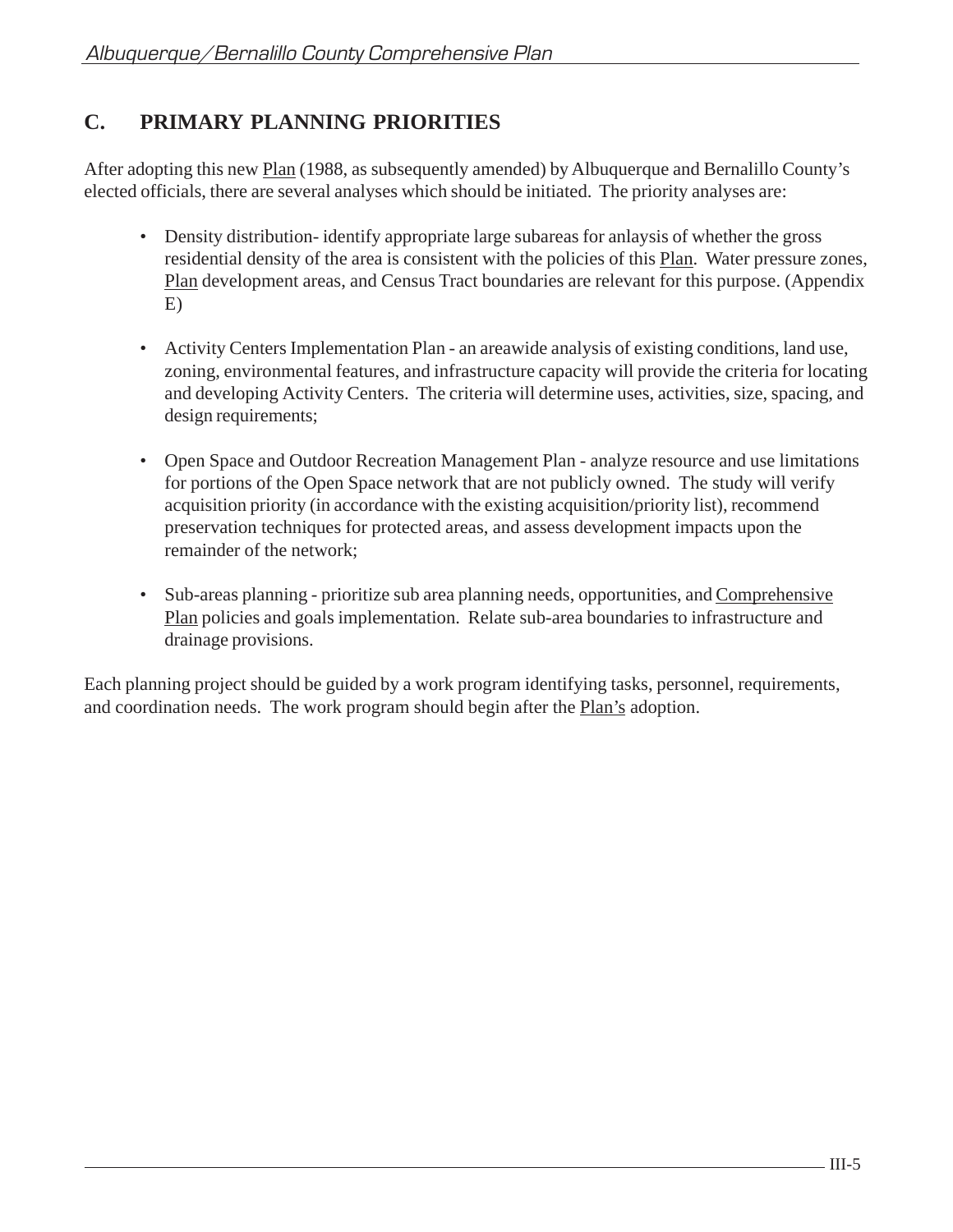## **C. PRIMARY PLANNING PRIORITIES**

After adopting this new Plan (1988, as subsequently amended) by Albuquerque and Bernalillo County's elected officials, there are several analyses which should be initiated. The priority analyses are:

- Density distribution-identify appropriate large subareas for anlaysis of whether the gross residential density of the area is consistent with the policies of this Plan. Water pressure zones, Plan development areas, and Census Tract boundaries are relevant for this purpose. (Appendix E)
- Activity Centers Implementation Plan an areawide analysis of existing conditions, land use, zoning, environmental features, and infrastructure capacity will provide the criteria for locating and developing Activity Centers. The criteria will determine uses, activities, size, spacing, and design requirements;
- Open Space and Outdoor Recreation Management Plan analyze resource and use limitations for portions of the Open Space network that are not publicly owned. The study will verify acquisition priority (in accordance with the existing acquisition/priority list), recommend preservation techniques for protected areas, and assess development impacts upon the remainder of the network;
- Sub-areas planning prioritize sub area planning needs, opportunities, and Comprehensive Plan policies and goals implementation. Relate sub-area boundaries to infrastructure and drainage provisions.

Each planning project should be guided by a work program identifying tasks, personnel, requirements, and coordination needs. The work program should begin after the Plan's adoption.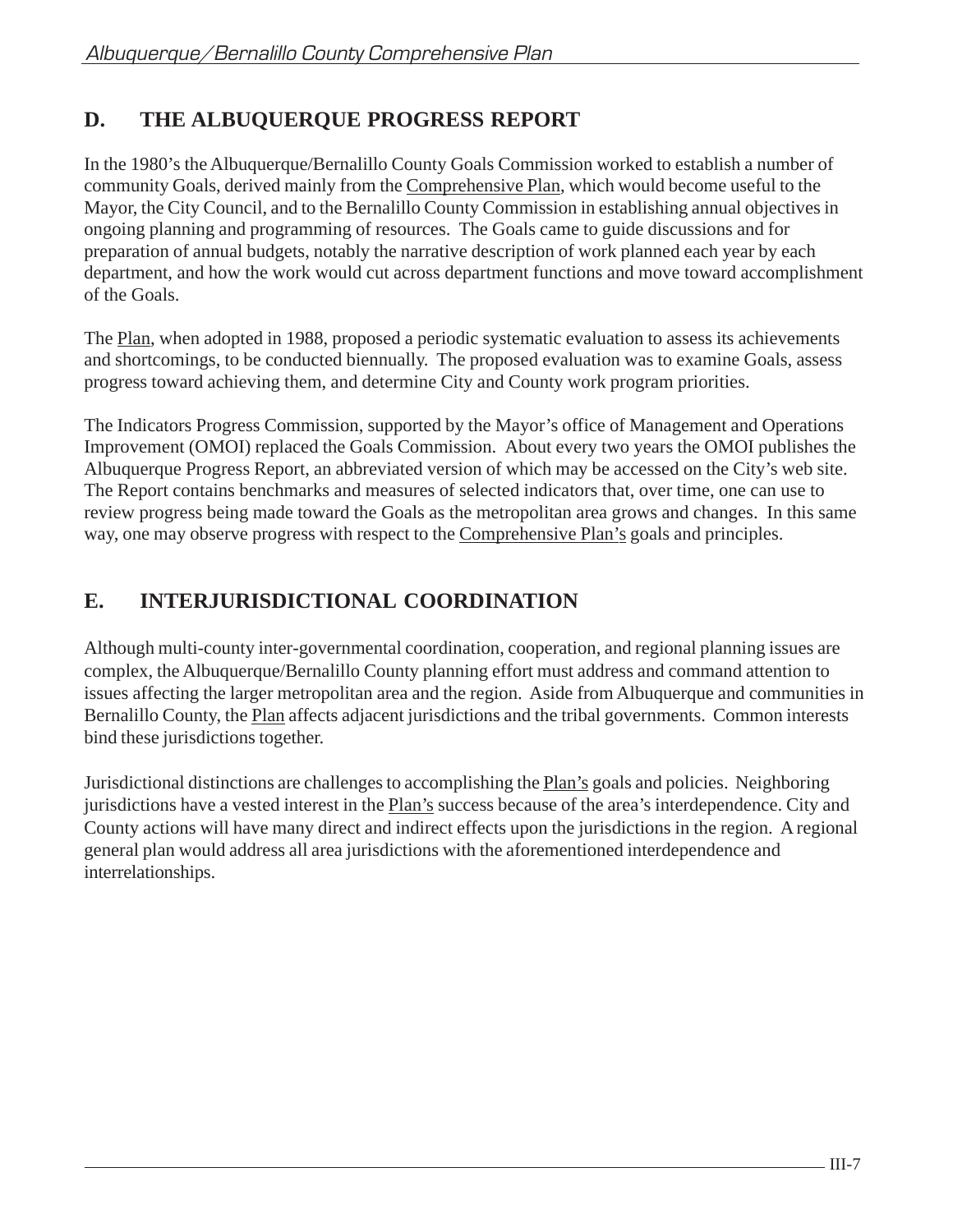# **D. THE ALBUQUERQUE PROGRESS REPORT**

In the 1980's the Albuquerque/Bernalillo County Goals Commission worked to establish a number of community Goals, derived mainly from the Comprehensive Plan, which would become useful to the Mayor, the City Council, and to the Bernalillo County Commission in establishing annual objectives in ongoing planning and programming of resources. The Goals came to guide discussions and for preparation of annual budgets, notably the narrative description of work planned each year by each department, and how the work would cut across department functions and move toward accomplishment of the Goals.

The Plan, when adopted in 1988, proposed a periodic systematic evaluation to assess its achievements and shortcomings, to be conducted biennually. The proposed evaluation was to examine Goals, assess progress toward achieving them, and determine City and County work program priorities.

The Indicators Progress Commission, supported by the Mayor's office of Management and Operations Improvement (OMOI) replaced the Goals Commission. About every two years the OMOI publishes the Albuquerque Progress Report, an abbreviated version of which may be accessed on the City's web site. The Report contains benchmarks and measures of selected indicators that, over time, one can use to review progress being made toward the Goals as the metropolitan area grows and changes. In this same way, one may observe progress with respect to the Comprehensive Plan's goals and principles.

# **E. INTERJURISDICTIONAL COORDINATION**

Although multi-county inter-governmental coordination, cooperation, and regional planning issues are complex, the Albuquerque/Bernalillo County planning effort must address and command attention to issues affecting the larger metropolitan area and the region. Aside from Albuquerque and communities in Bernalillo County, the Plan affects adjacent jurisdictions and the tribal governments. Common interests bind these jurisdictions together.

Jurisdictional distinctions are challenges to accomplishing the Plan's goals and policies. Neighboring jurisdictions have a vested interest in the Plan's success because of the area's interdependence. City and County actions will have many direct and indirect effects upon the jurisdictions in the region. A regional general plan would address all area jurisdictions with the aforementioned interdependence and interrelationships.